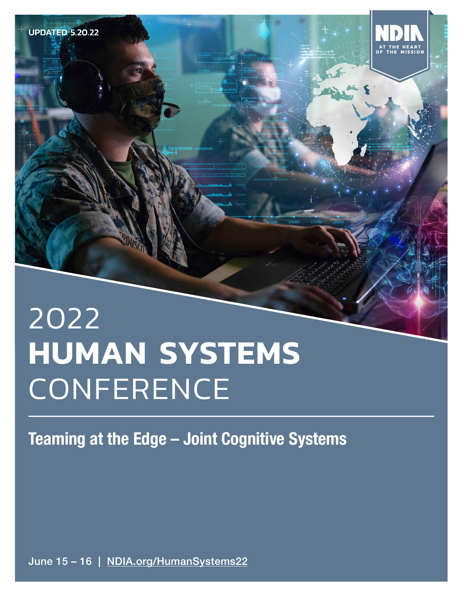

# [2022](http://NDIA.org/HumanSystems22) **HUMAN SYSTEMS CONFERENCE**

Teaming at the Edge – Joint Cognitive Systems

June 15 – 16 | [NDIA.org/HumanSystems22](http://NDIA.org/HumanSystems22)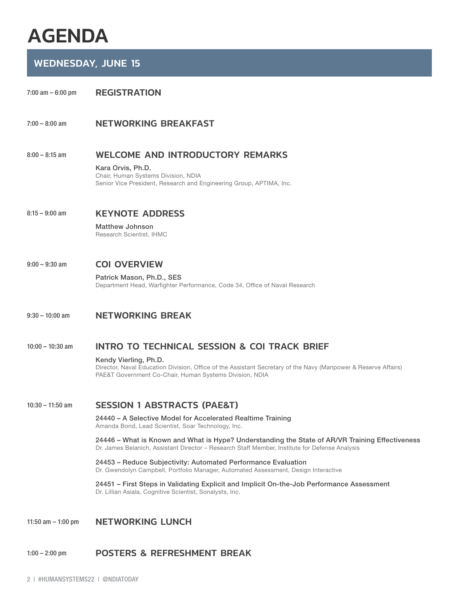# AGENDA

## WEDNESDAY, JUNE 15

#### 7:00 am – 6:00 pm REGISTRATION

#### 7:00 – 8:00 am **NETWORKING BREAKFAST**

#### 8:00 – 8:15 am WELCOME AND INTRODUCTORY REMARKS

Kara Orvis, Ph.D. Chair, Human Systems Division, NDIA Senior Vice President, Research and Engineering Group, APTIMA, Inc.

#### 8:15 – 9:00 am **KEYNOTE ADDRESS**

Matthew Johnson Research Scientist, IHMC

#### 9:00 – 9:30 am **COI OVERVIEW**

Patrick Mason, Ph.D., SES Department Head, Warfighter Performance, Code 34, Office of Naval Research

### 9:30 – 10:00 am **NETWORKING BREAK**

#### 10:00 – 10:30 am INTRO TO TECHNICAL SESSION & COI TRACK BRIEF

Kendy Vierling, Ph.D. Director, Naval Education Division, Office of the Assistant Secretary of the Navy (Manpower & Reserve Affairs) PAE&T Government Co-Chair, Human Systems Division, NDIA

#### 10:30 – 11:50 am SESSION 1 ABSTRACTS (PAE&T)

24440 – A Selective Model for Accelerated Realtime Training Amanda Bond, Lead Scientist, Soar Technology, Inc.

24446 – What is Known and What is Hype? Understanding the State of AR/VR Training Effectiveness Dr. James Belanich, Assistant Director – Research Staff Member, Institute for Defense Analysis

24453 – Reduce Subjectivity: Automated Performance Evaluation Dr. Gwendolyn Campbell, Portfolio Manager, Automated Assessment, Design Interactive

24451 – First Steps in Validating Explicit and Implicit On-the-Job Performance Assessment Dr. Lillian Asiala, Cognitive Scientist, Sonalysts, Inc.

#### 11:50 am - 1:00 pm NETWORKING LUNCH

#### 1:00 – 2:00 pm POSTERS & REFRESHMENT BREAK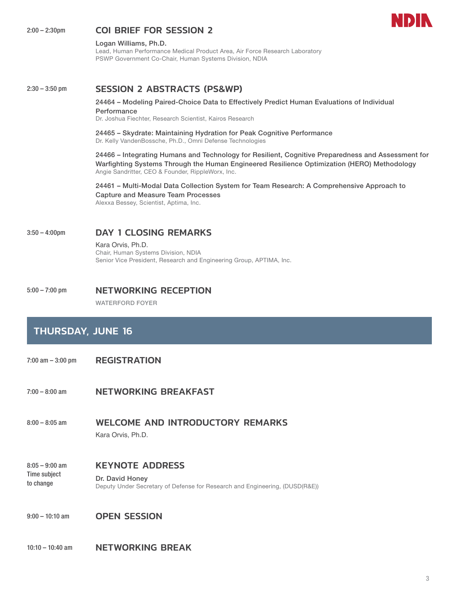| $2:00 - 2:30$ pm | <b>COI BRIEF FOR SESSION 2</b>                                                                                                                                                                                                                         |
|------------------|--------------------------------------------------------------------------------------------------------------------------------------------------------------------------------------------------------------------------------------------------------|
|                  | Logan Williams, Ph.D.<br>Lead, Human Performance Medical Product Area, Air Force Research Laboratory<br>PSWP Government Co-Chair, Human Systems Division, NDIA                                                                                         |
| $2:30 - 3:50$ pm | <b>SESSION 2 ABSTRACTS (PS&amp;WP)</b>                                                                                                                                                                                                                 |
|                  | 24464 - Modeling Paired-Choice Data to Effectively Predict Human Evaluations of Individual<br>Performance<br>Dr. Joshua Fiechter, Research Scientist, Kairos Research                                                                                  |
|                  | 24465 – Skydrate: Maintaining Hydration for Peak Cognitive Performance<br>Dr. Kelly VandenBossche, Ph.D., Omni Defense Technologies                                                                                                                    |
|                  | 24466 – Integrating Humans and Technology for Resilient, Cognitive Preparedness and Assessment for<br>Warfighting Systems Through the Human Engineered Resilience Optimization (HERO) Methodology<br>Angie Sandritter, CEO & Founder, RippleWorx, Inc. |
|                  | 24461 - Multi-Modal Data Collection System for Team Research: A Comprehensive Approach to<br><b>Capture and Measure Team Processes</b><br>Alexxa Bessey, Scientist, Aptima, Inc.                                                                       |
| $3:50 - 4:00$ pm | <b>DAY 1 CLOSING REMARKS</b>                                                                                                                                                                                                                           |
|                  | Kara Orvis, Ph.D.<br>Chair, Human Systems Division, NDIA                                                                                                                                                                                               |

Senior Vice President, Research and Engineering Group, APTIMA, Inc.

7:00 am – 3:00 pm REGISTRATION

THURSDAY, JUNE 16

7:00 – 8:00 am **NETWORKING BREAKFAST** 

5:00 – 7:00 pm **NETWORKING RECEPTION** 

WATERFORD FOYER

8:00 – 8:05 am **WELCOME AND INTRODUCTORY REMARKS** Kara Orvis, Ph.D.

#### 8:05 – 9:00 am Time subject KEYNOTE ADDRESS

to change Dr. David Honey Deputy Under Secretary of Defense for Research and Engineering, (DUSD(R&E))

9:00 – 10:10 am OPEN SESSION

10:10 – 10:40 am **NETWORKING BREAK** 

NNR